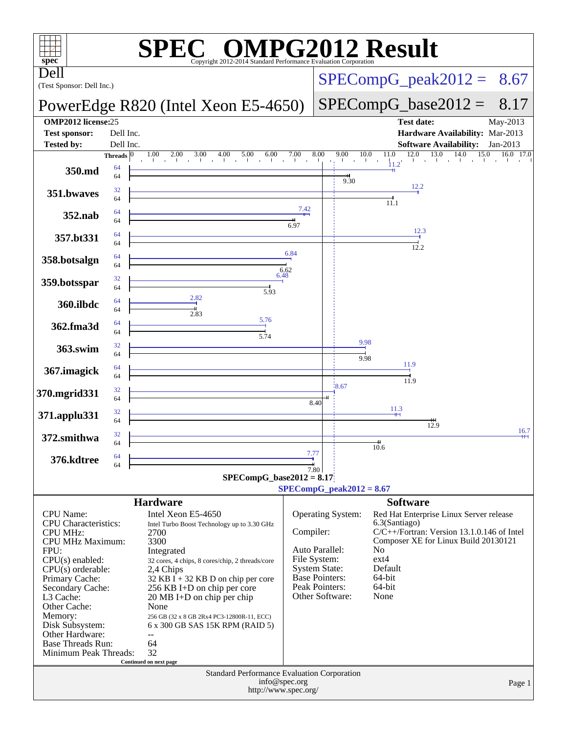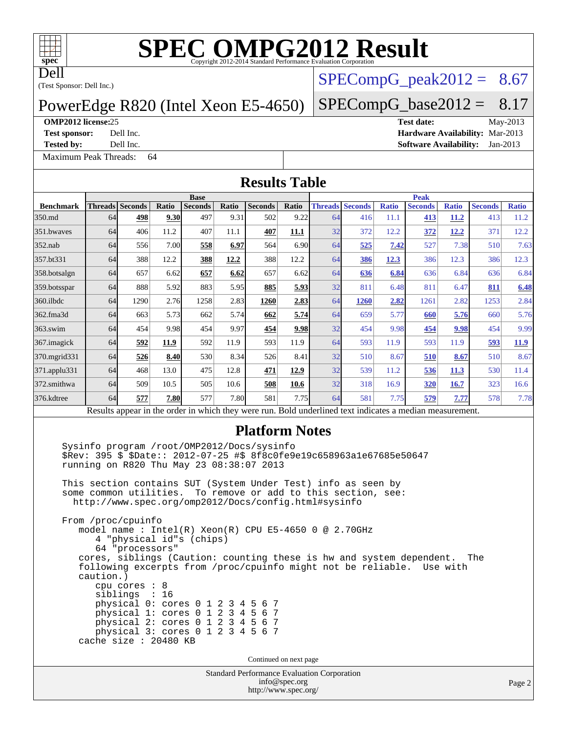Dell

# **[SPEC OMPG2012 Result](http://www.spec.org/auto/omp2012/Docs/result-fields.html#SPECOMPG2012Result)**

(Test Sponsor: Dell Inc.)

#### PowerEdge R820 (Intel Xeon E5-4650)

#### **[OMP2012 license:](http://www.spec.org/auto/omp2012/Docs/result-fields.html#OMP2012license)**25 **[Test date:](http://www.spec.org/auto/omp2012/Docs/result-fields.html#Testdate)** May-2013

[Maximum Peak Threads:](http://www.spec.org/auto/omp2012/Docs/result-fields.html#MaximumPeakThreads) 64

 $SPECompG<sub>p</sub>eak2012 = 8.67$ 

#### $SPECompG_base2012 = 8.17$  $SPECompG_base2012 = 8.17$

**[Test sponsor:](http://www.spec.org/auto/omp2012/Docs/result-fields.html#Testsponsor)** Dell Inc. **[Hardware Availability:](http://www.spec.org/auto/omp2012/Docs/result-fields.html#HardwareAvailability)** Mar-2013 **[Tested by:](http://www.spec.org/auto/omp2012/Docs/result-fields.html#Testedby)** Dell Inc. **[Software Availability:](http://www.spec.org/auto/omp2012/Docs/result-fields.html#SoftwareAvailability)** Jan-2013

**Base**

### **[Results Table](http://www.spec.org/auto/omp2012/Docs/result-fields.html#ResultsTable)**

|                  | <b>Base</b>                                                                                                    |                        |              |                |              |                | <b>Peak</b> |                        |      |              |                |              |                |              |
|------------------|----------------------------------------------------------------------------------------------------------------|------------------------|--------------|----------------|--------------|----------------|-------------|------------------------|------|--------------|----------------|--------------|----------------|--------------|
| <b>Benchmark</b> |                                                                                                                | <b>Threads Seconds</b> | <b>Ratio</b> | <b>Seconds</b> | <b>Ratio</b> | <b>Seconds</b> | Ratio       | <b>Threads Seconds</b> |      | <b>Ratio</b> | <b>Seconds</b> | <b>Ratio</b> | <b>Seconds</b> | <b>Ratio</b> |
| 350.md           | 64                                                                                                             | 498                    | 9.30         | 497            | 9.31         | 502            | 9.22        | 64                     | 416  | 11.1         | 413            | 11.2         | 413            | 11.2         |
| 351.bwaves       | 64                                                                                                             | 406                    | 11.2         | 407            | 11.1         | 407            | 11.1        | 32                     | 372  | 12.2         | 372            | 12.2         | 371            | 12.2         |
| $352$ .nab       | 64                                                                                                             | 556                    | 7.00         | 558            | 6.97         | 564            | 6.90        | 64                     | 525  | 7.42         | 527            | 7.38         | 510            | 7.63         |
| 357.bt331        | 64                                                                                                             | 388                    | 12.2         | 388            | 12.2         | 388            | 12.2        | 64                     | 386  | 12.3         | 386            | 12.3         | 386            | 12.3         |
| 358.botsalgn     | 64                                                                                                             | 657                    | 6.62         | 657            | 6.62         | 657            | 6.62        | 64                     | 636  | 6.84         | 636            | 6.84         | 636            | 6.84         |
| 359.botsspar     | 64                                                                                                             | 888                    | 5.92         | 883            | 5.95         | 885            | 5.93        | 32                     | 811  | 6.48         | 811            | 6.47         | 811            | 6.48         |
| 360.ilbdc        | 64                                                                                                             | 1290                   | 2.76         | 1258           | 2.83         | 1260           | 2.83        | 64                     | 1260 | <u>2.82</u>  | 1261           | 2.82         | 1253           | 2.84         |
| 362.fma3d        | 64                                                                                                             | 663                    | 5.73         | 662            | 5.74         | 662            | 5.74        | 64                     | 659  | 5.77         | 660            | 5.76         | 660            | 5.76         |
| 363.swim         | 64                                                                                                             | 454                    | 9.98         | 454            | 9.97         | 454            | 9.98        | 32                     | 454  | 9.98         | 454            | 9.98         | 454            | 9.99         |
| 367.imagick      | 64                                                                                                             | 592                    | 11.9         | 592            | 11.9         | 593            | 11.9        | 64                     | 593  | 11.9         | 593            | 11.9         | 593            | <b>11.9</b>  |
| 370.mgrid331     | 64                                                                                                             | 526                    | 8.40         | 530            | 8.34         | 526            | 8.41        | 32                     | 510  | 8.67         | 510            | 8.67         | 510            | 8.67         |
| 371.applu331     | 64                                                                                                             | 468                    | 13.0         | 475            | 12.8         | 471            | 12.9        | 32                     | 539  | 11.2         | 536            | 11.3         | 530            | 11.4         |
| 372.smithwa      | 64                                                                                                             | 509                    | 10.5         | 505            | 10.6         | 508            | 10.6        | 32                     | 318  | 16.9         | 320            | 16.7         | 323            | 16.6         |
| 376.kdtree       | 64                                                                                                             | 577                    | 7.80         | 577            | 7.80         | 581            | 7.75        | 64                     | 581  | 7.75         | 579            | 7.77         | 578            | 7.78         |
|                  | Descrito successive the contractor college theorems with Deld contracting the disable secondisc measurements t |                        |              |                |              |                |             |                        |      |              |                |              |                |              |

Results appear in the [order in which they were run.](http://www.spec.org/auto/omp2012/Docs/result-fields.html#RunOrder) Bold underlined text [indicates a median measurement.](http://www.spec.org/auto/omp2012/Docs/result-fields.html#Median)

#### **[Platform Notes](http://www.spec.org/auto/omp2012/Docs/result-fields.html#PlatformNotes)**

 Sysinfo program /root/OMP2012/Docs/sysinfo \$Rev: 395 \$ \$Date:: 2012-07-25 #\$ 8f8c0fe9e19c658963a1e67685e50647 running on R820 Thu May 23 08:38:07 2013

 This section contains SUT (System Under Test) info as seen by some common utilities. To remove or add to this section, see: <http://www.spec.org/omp2012/Docs/config.html#sysinfo>

 From /proc/cpuinfo model name : Intel(R) Xeon(R) CPU E5-4650 0 @ 2.70GHz 4 "physical id"s (chips) 64 "processors" cores, siblings (Caution: counting these is hw and system dependent. The following excerpts from /proc/cpuinfo might not be reliable. Use with caution.) cpu cores : 8 siblings : 16 physical 0: cores 0 1 2 3 4 5 6 7 physical 1: cores 0 1 2 3 4 5 6 7 physical 2: cores 0 1 2 3 4 5 6 7 physical 3: cores 0 1 2 3 4 5 6 7 cache size : 20480 KB

Continued on next page

Standard Performance Evaluation Corporation [info@spec.org](mailto:info@spec.org) <http://www.spec.org/>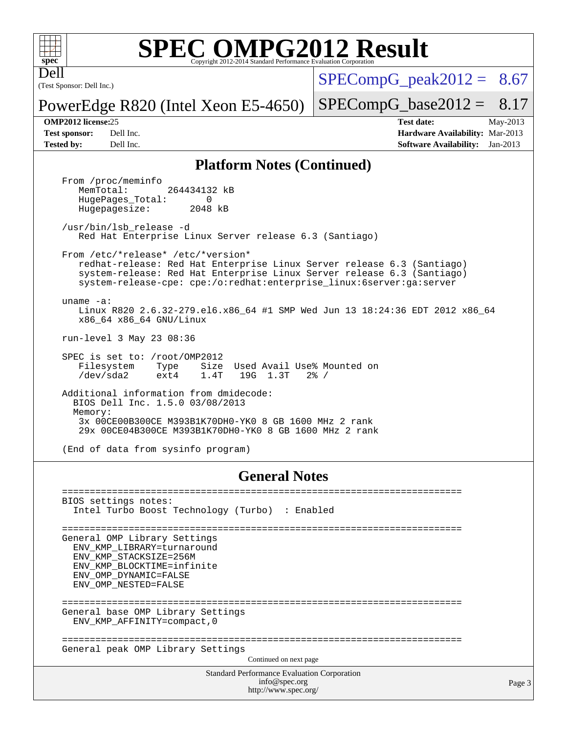

## **[SPEC OMPG2012 Result](http://www.spec.org/auto/omp2012/Docs/result-fields.html#SPECOMPG2012Result)**

(Test Sponsor: Dell Inc.) Dell

 $SPECompG<sub>peak2012</sub> = 8.67$ 

PowerEdge R820 (Intel Xeon E5-4650)

**[Test sponsor:](http://www.spec.org/auto/omp2012/Docs/result-fields.html#Testsponsor)** Dell Inc. **[Hardware Availability:](http://www.spec.org/auto/omp2012/Docs/result-fields.html#HardwareAvailability)** Mar-2013 **[Tested by:](http://www.spec.org/auto/omp2012/Docs/result-fields.html#Testedby)** Dell Inc. **[Software Availability:](http://www.spec.org/auto/omp2012/Docs/result-fields.html#SoftwareAvailability)** Jan-2013

 $SPECompG_base2012 = 8.17$  $SPECompG_base2012 = 8.17$ **[OMP2012 license:](http://www.spec.org/auto/omp2012/Docs/result-fields.html#OMP2012license)**25 **[Test date:](http://www.spec.org/auto/omp2012/Docs/result-fields.html#Testdate)** May-2013

**[Platform Notes \(Continued\)](http://www.spec.org/auto/omp2012/Docs/result-fields.html#PlatformNotes)**

From /proc/meminfo<br>MemTotal: 264434132 kB HugePages\_Total: 0<br>Hugepagesize: 2048 kB Hugepagesize: /usr/bin/lsb\_release -d Red Hat Enterprise Linux Server release 6.3 (Santiago) From /etc/\*release\* /etc/\*version\* redhat-release: Red Hat Enterprise Linux Server release 6.3 (Santiago) system-release: Red Hat Enterprise Linux Server release 6.3 (Santiago) system-release-cpe: cpe:/o:redhat:enterprise\_linux:6server:ga:server uname -a: Linux R820 2.6.32-279.el6.x86\_64 #1 SMP Wed Jun 13 18:24:36 EDT 2012 x86\_64 x86\_64 x86\_64 GNU/Linux run-level 3 May 23 08:36 SPEC is set to: /root/OMP2012 Filesystem Type Size Used Avail Use% Mounted on /dev/sda2 ext4 1.4T 19G 1.3T 2% / Additional information from dmidecode: BIOS Dell Inc. 1.5.0 03/08/2013 Memory: 3x 00CE00B300CE M393B1K70DH0-YK0 8 GB 1600 MHz 2 rank 29x 00CE04B300CE M393B1K70DH0-YK0 8 GB 1600 MHz 2 rank

(End of data from sysinfo program)

#### **[General Notes](http://www.spec.org/auto/omp2012/Docs/result-fields.html#GeneralNotes)**

Standard Performance Evaluation Corporation [info@spec.org](mailto:info@spec.org) <http://www.spec.org/> Page 3 ======================================================================== BIOS settings notes: Intel Turbo Boost Technology (Turbo) : Enabled ======================================================================== General OMP Library Settings ENV\_KMP\_LIBRARY=turnaround ENV\_KMP\_STACKSIZE=256M ENV\_KMP\_BLOCKTIME=infinite ENV\_OMP\_DYNAMIC=FALSE ENV\_OMP\_NESTED=FALSE ======================================================================== General base OMP Library Settings ENV\_KMP\_AFFINITY=compact,0 ======================================================================== General peak OMP Library Settings Continued on next page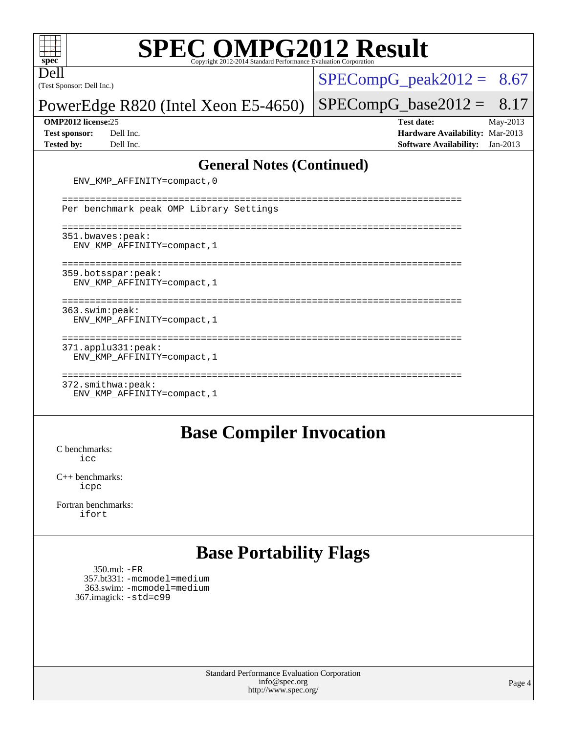Dell

# **[SPEC OMPG2012 Result](http://www.spec.org/auto/omp2012/Docs/result-fields.html#SPECOMPG2012Result)**

(Test Sponsor: Dell Inc.)

 $SPECompG_peak2012 = 8.67$  $SPECompG_peak2012 = 8.67$ 

PowerEdge R820 (Intel Xeon E5-4650)

#### **[OMP2012 license:](http://www.spec.org/auto/omp2012/Docs/result-fields.html#OMP2012license)**25 **[Test date:](http://www.spec.org/auto/omp2012/Docs/result-fields.html#Testdate)** May-2013

 $SPECompG_base2012 = 8.17$  $SPECompG_base2012 = 8.17$ 

**[Test sponsor:](http://www.spec.org/auto/omp2012/Docs/result-fields.html#Testsponsor)** Dell Inc. **[Hardware Availability:](http://www.spec.org/auto/omp2012/Docs/result-fields.html#HardwareAvailability)** Mar-2013 **[Tested by:](http://www.spec.org/auto/omp2012/Docs/result-fields.html#Testedby)** Dell Inc. **[Software Availability:](http://www.spec.org/auto/omp2012/Docs/result-fields.html#SoftwareAvailability)** Jan-2013

#### **[General Notes \(Continued\)](http://www.spec.org/auto/omp2012/Docs/result-fields.html#GeneralNotes)**

| ENV_KMP_AFFINITY=compact, 0                                       |
|-------------------------------------------------------------------|
| Per benchmark peak OMP Library Settings                           |
| 351.bwaves:peak:<br>ENV KMP AFFINITY=compact, 1                   |
| 359.botsspar: peak:<br>ENV KMP AFFINITY=compact, 1                |
| 363.swim:peak:<br>ENV KMP AFFINITY=compact, 1                     |
| $371.\text{applu}331:\text{peak}:$<br>ENV KMP AFFINITY=compact, 1 |
| $372.\text{smithwa:peak}:$<br>ENV KMP AFFINITY=compact, 1         |

#### **[Base Compiler Invocation](http://www.spec.org/auto/omp2012/Docs/result-fields.html#BaseCompilerInvocation)**

[C benchmarks](http://www.spec.org/auto/omp2012/Docs/result-fields.html#Cbenchmarks): [icc](http://www.spec.org/omp2012/results/res2013q3/omp2012-20130625-00029.flags.html#user_CCbase_intel_icc_a87c68a857bc5ec5362391a49d3a37a6)

[C++ benchmarks:](http://www.spec.org/auto/omp2012/Docs/result-fields.html#CXXbenchmarks) [icpc](http://www.spec.org/omp2012/results/res2013q3/omp2012-20130625-00029.flags.html#user_CXXbase_intel_icpc_2d899f8d163502b12eb4a60069f80c1c)

[Fortran benchmarks](http://www.spec.org/auto/omp2012/Docs/result-fields.html#Fortranbenchmarks): [ifort](http://www.spec.org/omp2012/results/res2013q3/omp2012-20130625-00029.flags.html#user_FCbase_intel_ifort_8a5e5e06b19a251bdeaf8fdab5d62f20)

## **[Base Portability Flags](http://www.spec.org/auto/omp2012/Docs/result-fields.html#BasePortabilityFlags)**

 350.md: [-FR](http://www.spec.org/omp2012/results/res2013q3/omp2012-20130625-00029.flags.html#user_baseFPORTABILITY350_md_f-FR) 357.bt331: [-mcmodel=medium](http://www.spec.org/omp2012/results/res2013q3/omp2012-20130625-00029.flags.html#user_basePORTABILITY357_bt331_f-mcmodel_3a41622424bdd074c4f0f2d2f224c7e5) 363.swim: [-mcmodel=medium](http://www.spec.org/omp2012/results/res2013q3/omp2012-20130625-00029.flags.html#user_basePORTABILITY363_swim_f-mcmodel_3a41622424bdd074c4f0f2d2f224c7e5) 367.imagick: [-std=c99](http://www.spec.org/omp2012/results/res2013q3/omp2012-20130625-00029.flags.html#user_baseCPORTABILITY367_imagick_f-std_2ec6533b6e06f1c4a6c9b78d9e9cde24)

> Standard Performance Evaluation Corporation [info@spec.org](mailto:info@spec.org) <http://www.spec.org/>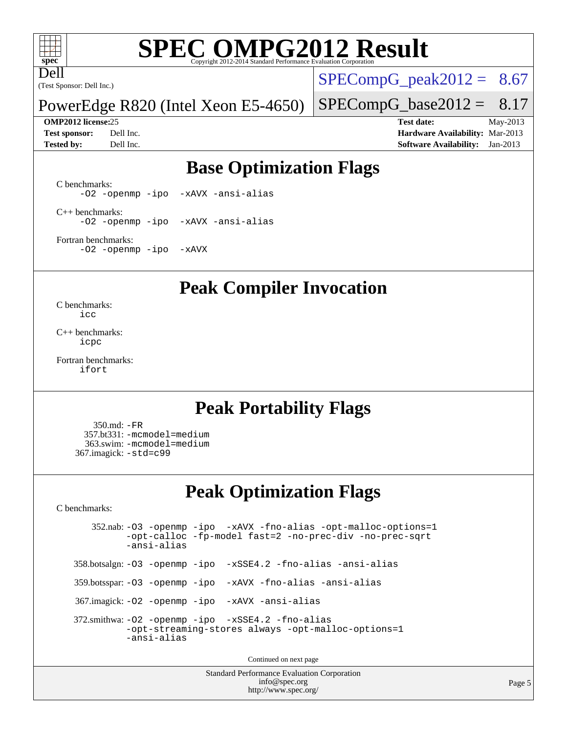# **[SPEC OMPG2012 Result](http://www.spec.org/auto/omp2012/Docs/result-fields.html#SPECOMPG2012Result)**

(Test Sponsor: Dell Inc.) Dell

 $SPECompG_peak2012 = 8.67$  $SPECompG_peak2012 = 8.67$ 

PowerEdge R820 (Intel Xeon E5-4650)

**[Tested by:](http://www.spec.org/auto/omp2012/Docs/result-fields.html#Testedby)** Dell Inc. **[Software Availability:](http://www.spec.org/auto/omp2012/Docs/result-fields.html#SoftwareAvailability)** Jan-2013

 $SPECompG_base2012 = 8.17$  $SPECompG_base2012 = 8.17$ **[OMP2012 license:](http://www.spec.org/auto/omp2012/Docs/result-fields.html#OMP2012license)**25 **[Test date:](http://www.spec.org/auto/omp2012/Docs/result-fields.html#Testdate)** May-2013 **[Test sponsor:](http://www.spec.org/auto/omp2012/Docs/result-fields.html#Testsponsor)** Dell Inc. **[Hardware Availability:](http://www.spec.org/auto/omp2012/Docs/result-fields.html#HardwareAvailability)** Mar-2013

## **[Base Optimization Flags](http://www.spec.org/auto/omp2012/Docs/result-fields.html#BaseOptimizationFlags)**

[C benchmarks](http://www.spec.org/auto/omp2012/Docs/result-fields.html#Cbenchmarks): [-O2](http://www.spec.org/omp2012/results/res2013q3/omp2012-20130625-00029.flags.html#user_CCbase_f-O2) [-openmp](http://www.spec.org/omp2012/results/res2013q3/omp2012-20130625-00029.flags.html#user_CCbase_f-openmp) [-ipo](http://www.spec.org/omp2012/results/res2013q3/omp2012-20130625-00029.flags.html#user_CCbase_f-ipo_84062ab53814f613187d02344b8f49a7) [-xAVX](http://www.spec.org/omp2012/results/res2013q3/omp2012-20130625-00029.flags.html#user_CCbase_f-xAVX) [-ansi-alias](http://www.spec.org/omp2012/results/res2013q3/omp2012-20130625-00029.flags.html#user_CCbase_f-ansi-alias)

[C++ benchmarks:](http://www.spec.org/auto/omp2012/Docs/result-fields.html#CXXbenchmarks) [-O2](http://www.spec.org/omp2012/results/res2013q3/omp2012-20130625-00029.flags.html#user_CXXbase_f-O2) [-openmp](http://www.spec.org/omp2012/results/res2013q3/omp2012-20130625-00029.flags.html#user_CXXbase_f-openmp) [-ipo](http://www.spec.org/omp2012/results/res2013q3/omp2012-20130625-00029.flags.html#user_CXXbase_f-ipo_84062ab53814f613187d02344b8f49a7) [-xAVX](http://www.spec.org/omp2012/results/res2013q3/omp2012-20130625-00029.flags.html#user_CXXbase_f-xAVX) [-ansi-alias](http://www.spec.org/omp2012/results/res2013q3/omp2012-20130625-00029.flags.html#user_CXXbase_f-ansi-alias)

[Fortran benchmarks](http://www.spec.org/auto/omp2012/Docs/result-fields.html#Fortranbenchmarks): [-O2](http://www.spec.org/omp2012/results/res2013q3/omp2012-20130625-00029.flags.html#user_FCbase_f-O2) [-openmp](http://www.spec.org/omp2012/results/res2013q3/omp2012-20130625-00029.flags.html#user_FCbase_f-openmp) [-ipo](http://www.spec.org/omp2012/results/res2013q3/omp2012-20130625-00029.flags.html#user_FCbase_f-ipo_84062ab53814f613187d02344b8f49a7) [-xAVX](http://www.spec.org/omp2012/results/res2013q3/omp2012-20130625-00029.flags.html#user_FCbase_f-xAVX)

**[Peak Compiler Invocation](http://www.spec.org/auto/omp2012/Docs/result-fields.html#PeakCompilerInvocation)**

[C benchmarks](http://www.spec.org/auto/omp2012/Docs/result-fields.html#Cbenchmarks): [icc](http://www.spec.org/omp2012/results/res2013q3/omp2012-20130625-00029.flags.html#user_CCpeak_intel_icc_a87c68a857bc5ec5362391a49d3a37a6)

[C++ benchmarks:](http://www.spec.org/auto/omp2012/Docs/result-fields.html#CXXbenchmarks) [icpc](http://www.spec.org/omp2012/results/res2013q3/omp2012-20130625-00029.flags.html#user_CXXpeak_intel_icpc_2d899f8d163502b12eb4a60069f80c1c)

[Fortran benchmarks](http://www.spec.org/auto/omp2012/Docs/result-fields.html#Fortranbenchmarks): [ifort](http://www.spec.org/omp2012/results/res2013q3/omp2012-20130625-00029.flags.html#user_FCpeak_intel_ifort_8a5e5e06b19a251bdeaf8fdab5d62f20)

### **[Peak Portability Flags](http://www.spec.org/auto/omp2012/Docs/result-fields.html#PeakPortabilityFlags)**

 350.md: [-FR](http://www.spec.org/omp2012/results/res2013q3/omp2012-20130625-00029.flags.html#user_peakFPORTABILITY350_md_f-FR) 357.bt331: [-mcmodel=medium](http://www.spec.org/omp2012/results/res2013q3/omp2012-20130625-00029.flags.html#user_peakPORTABILITY357_bt331_f-mcmodel_3a41622424bdd074c4f0f2d2f224c7e5) 363.swim: [-mcmodel=medium](http://www.spec.org/omp2012/results/res2013q3/omp2012-20130625-00029.flags.html#user_peakPORTABILITY363_swim_f-mcmodel_3a41622424bdd074c4f0f2d2f224c7e5) 367.imagick: [-std=c99](http://www.spec.org/omp2012/results/res2013q3/omp2012-20130625-00029.flags.html#user_peakCPORTABILITY367_imagick_f-std_2ec6533b6e06f1c4a6c9b78d9e9cde24)

### **[Peak Optimization Flags](http://www.spec.org/auto/omp2012/Docs/result-fields.html#PeakOptimizationFlags)**

[C benchmarks](http://www.spec.org/auto/omp2012/Docs/result-fields.html#Cbenchmarks):

 352.nab: [-O3](http://www.spec.org/omp2012/results/res2013q3/omp2012-20130625-00029.flags.html#user_peakOPTIMIZE352_nab_f-O3) [-openmp](http://www.spec.org/omp2012/results/res2013q3/omp2012-20130625-00029.flags.html#user_peakOPTIMIZE352_nab_f-openmp) [-ipo](http://www.spec.org/omp2012/results/res2013q3/omp2012-20130625-00029.flags.html#user_peakOPTIMIZE352_nab_f-ipo_84062ab53814f613187d02344b8f49a7) [-xAVX](http://www.spec.org/omp2012/results/res2013q3/omp2012-20130625-00029.flags.html#user_peakOPTIMIZE352_nab_f-xAVX) [-fno-alias](http://www.spec.org/omp2012/results/res2013q3/omp2012-20130625-00029.flags.html#user_peakOPTIMIZE352_nab_f-no-alias_694e77f6c5a51e658e82ccff53a9e63a) [-opt-malloc-options=1](http://www.spec.org/omp2012/results/res2013q3/omp2012-20130625-00029.flags.html#user_peakOPTIMIZE352_nab_f-opt-malloc-options_d882ffc6ff87e51efe45f9a5190004b0) [-opt-calloc](http://www.spec.org/omp2012/results/res2013q3/omp2012-20130625-00029.flags.html#user_peakOPTIMIZE352_nab_f-opt-calloc) [-fp-model fast=2](http://www.spec.org/omp2012/results/res2013q3/omp2012-20130625-00029.flags.html#user_peakOPTIMIZE352_nab_f-fp-model_a7fb8ccb7275e23f0079632c153cfcab) [-no-prec-div](http://www.spec.org/omp2012/results/res2013q3/omp2012-20130625-00029.flags.html#user_peakOPTIMIZE352_nab_f-no-prec-div) [-no-prec-sqrt](http://www.spec.org/omp2012/results/res2013q3/omp2012-20130625-00029.flags.html#user_peakOPTIMIZE352_nab_f-no-prec-sqrt) [-ansi-alias](http://www.spec.org/omp2012/results/res2013q3/omp2012-20130625-00029.flags.html#user_peakCOPTIMIZE352_nab_f-ansi-alias)

358.botsalgn: [-O3](http://www.spec.org/omp2012/results/res2013q3/omp2012-20130625-00029.flags.html#user_peakOPTIMIZE358_botsalgn_f-O3) [-openmp](http://www.spec.org/omp2012/results/res2013q3/omp2012-20130625-00029.flags.html#user_peakOPTIMIZE358_botsalgn_f-openmp) [-ipo](http://www.spec.org/omp2012/results/res2013q3/omp2012-20130625-00029.flags.html#user_peakOPTIMIZE358_botsalgn_f-ipo_84062ab53814f613187d02344b8f49a7) [-xSSE4.2](http://www.spec.org/omp2012/results/res2013q3/omp2012-20130625-00029.flags.html#user_peakOPTIMIZE358_botsalgn_f-xSSE42_f91528193cf0b216347adb8b939d4107) [-fno-alias](http://www.spec.org/omp2012/results/res2013q3/omp2012-20130625-00029.flags.html#user_peakOPTIMIZE358_botsalgn_f-no-alias_694e77f6c5a51e658e82ccff53a9e63a) [-ansi-alias](http://www.spec.org/omp2012/results/res2013q3/omp2012-20130625-00029.flags.html#user_peakCOPTIMIZE358_botsalgn_f-ansi-alias)

359.botsspar: [-O3](http://www.spec.org/omp2012/results/res2013q3/omp2012-20130625-00029.flags.html#user_peakOPTIMIZE359_botsspar_f-O3) [-openmp](http://www.spec.org/omp2012/results/res2013q3/omp2012-20130625-00029.flags.html#user_peakOPTIMIZE359_botsspar_f-openmp) [-ipo](http://www.spec.org/omp2012/results/res2013q3/omp2012-20130625-00029.flags.html#user_peakOPTIMIZE359_botsspar_f-ipo_84062ab53814f613187d02344b8f49a7) [-xAVX](http://www.spec.org/omp2012/results/res2013q3/omp2012-20130625-00029.flags.html#user_peakOPTIMIZE359_botsspar_f-xAVX) [-fno-alias](http://www.spec.org/omp2012/results/res2013q3/omp2012-20130625-00029.flags.html#user_peakOPTIMIZE359_botsspar_f-no-alias_694e77f6c5a51e658e82ccff53a9e63a) [-ansi-alias](http://www.spec.org/omp2012/results/res2013q3/omp2012-20130625-00029.flags.html#user_peakCOPTIMIZE359_botsspar_f-ansi-alias)

367.imagick: [-O2](http://www.spec.org/omp2012/results/res2013q3/omp2012-20130625-00029.flags.html#user_peakOPTIMIZE367_imagick_f-O2) [-openmp](http://www.spec.org/omp2012/results/res2013q3/omp2012-20130625-00029.flags.html#user_peakOPTIMIZE367_imagick_f-openmp) [-ipo](http://www.spec.org/omp2012/results/res2013q3/omp2012-20130625-00029.flags.html#user_peakOPTIMIZE367_imagick_f-ipo_84062ab53814f613187d02344b8f49a7) [-xAVX](http://www.spec.org/omp2012/results/res2013q3/omp2012-20130625-00029.flags.html#user_peakOPTIMIZE367_imagick_f-xAVX) [-ansi-alias](http://www.spec.org/omp2012/results/res2013q3/omp2012-20130625-00029.flags.html#user_peakCOPTIMIZE367_imagick_f-ansi-alias)

 372.smithwa: [-O2](http://www.spec.org/omp2012/results/res2013q3/omp2012-20130625-00029.flags.html#user_peakOPTIMIZE372_smithwa_f-O2) [-openmp](http://www.spec.org/omp2012/results/res2013q3/omp2012-20130625-00029.flags.html#user_peakOPTIMIZE372_smithwa_f-openmp) [-ipo](http://www.spec.org/omp2012/results/res2013q3/omp2012-20130625-00029.flags.html#user_peakOPTIMIZE372_smithwa_f-ipo_84062ab53814f613187d02344b8f49a7) [-xSSE4.2](http://www.spec.org/omp2012/results/res2013q3/omp2012-20130625-00029.flags.html#user_peakOPTIMIZE372_smithwa_f-xSSE42_f91528193cf0b216347adb8b939d4107) [-fno-alias](http://www.spec.org/omp2012/results/res2013q3/omp2012-20130625-00029.flags.html#user_peakOPTIMIZE372_smithwa_f-no-alias_694e77f6c5a51e658e82ccff53a9e63a) [-opt-streaming-stores always](http://www.spec.org/omp2012/results/res2013q3/omp2012-20130625-00029.flags.html#user_peakOPTIMIZE372_smithwa_f-opt-streaming-stores-always_66f55dbc532842151ebc4c82f4f5b019) [-opt-malloc-options=1](http://www.spec.org/omp2012/results/res2013q3/omp2012-20130625-00029.flags.html#user_peakOPTIMIZE372_smithwa_f-opt-malloc-options_d882ffc6ff87e51efe45f9a5190004b0) [-ansi-alias](http://www.spec.org/omp2012/results/res2013q3/omp2012-20130625-00029.flags.html#user_peakCOPTIMIZE372_smithwa_f-ansi-alias)

Continued on next page

Standard Performance Evaluation Corporation [info@spec.org](mailto:info@spec.org) <http://www.spec.org/>

Page 5